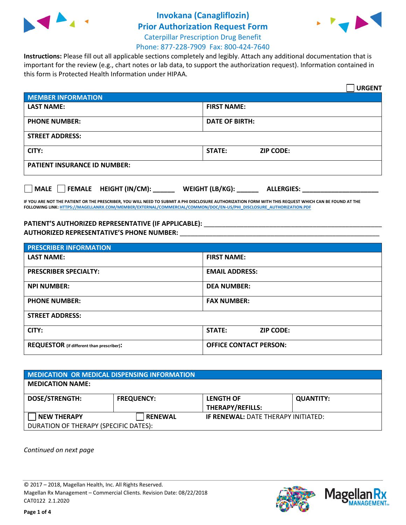

## **Invokana (Canagliflozin)**



**Prior Authorization Request Form** Caterpillar Prescription Drug Benefit

## Phone: 877-228-7909 Fax: 800-424-7640

**Instructions:** Please fill out all applicable sections completely and legibly. Attach any additional documentation that is important for the review (e.g., chart notes or lab data, to support the authorization request). Information contained in this form is Protected Health Information under HIPAA.

|                                     |                       |                  | <b>URGENT</b> |
|-------------------------------------|-----------------------|------------------|---------------|
| <b>MEMBER INFORMATION</b>           |                       |                  |               |
| <b>LAST NAME:</b>                   | <b>FIRST NAME:</b>    |                  |               |
| <b>PHONE NUMBER:</b>                | <b>DATE OF BIRTH:</b> |                  |               |
| <b>STREET ADDRESS:</b>              |                       |                  |               |
| CITY:                               | STATE:                | <b>ZIP CODE:</b> |               |
| <b>PATIENT INSURANCE ID NUMBER:</b> |                       |                  |               |
|                                     |                       |                  |               |

| <b>MALE</b> | FEMALE HEIGHT (IN/CM): | WEIGHT (LB/KG): | <b>ALLERGIES:</b> |
|-------------|------------------------|-----------------|-------------------|
|             |                        |                 |                   |

**IF YOU ARE NOT THE PATIENT OR THE PRESCRIBER, YOU WILL NEED TO SUBMIT A PHI DISCLOSURE AUTHORIZATION FORM WITH THIS REQUEST WHICH CAN BE FOUND AT THE FOLLOWING LINK[: HTTPS://MAGELLANRX.COM/MEMBER/EXTERNAL/COMMERCIAL/COMMON/DOC/EN-US/PHI\\_DISCLOSURE\\_AUTHORIZATION.PDF](https://magellanrx.com/member/external/commercial/common/doc/en-us/PHI_Disclosure_Authorization.pdf)**

## **PATIENT'S AUTHORIZED REPRESENTATIVE (IF APPLICABLE):** \_\_\_\_\_\_\_\_\_\_\_\_\_\_\_\_\_\_\_\_\_\_\_\_\_\_\_\_\_\_\_\_\_\_\_\_\_\_\_\_\_\_\_\_\_\_\_\_\_ **AUTHORIZED REPRESENTATIVE'S PHONE NUMBER:** \_\_\_\_\_\_\_\_\_\_\_\_\_\_\_\_\_\_\_\_\_\_\_\_\_\_\_\_\_\_\_\_\_\_\_\_\_\_\_\_\_\_\_\_\_\_\_\_\_\_\_\_\_\_\_

| <b>PRESCRIBER INFORMATION</b>             |                               |
|-------------------------------------------|-------------------------------|
| <b>LAST NAME:</b>                         | <b>FIRST NAME:</b>            |
| <b>PRESCRIBER SPECIALTY:</b>              | <b>EMAIL ADDRESS:</b>         |
| <b>NPI NUMBER:</b>                        | <b>DEA NUMBER:</b>            |
| <b>PHONE NUMBER:</b>                      | <b>FAX NUMBER:</b>            |
| <b>STREET ADDRESS:</b>                    |                               |
| CITY:                                     | STATE:<br><b>ZIP CODE:</b>    |
| REQUESTOR (if different than prescriber): | <b>OFFICE CONTACT PERSON:</b> |

| <b>MEDICATION OR MEDICAL DISPENSING INFORMATION</b> |                   |                                             |                  |
|-----------------------------------------------------|-------------------|---------------------------------------------|------------------|
| <b>MEDICATION NAME:</b>                             |                   |                                             |                  |
| <b>DOSE/STRENGTH:</b>                               | <b>FREQUENCY:</b> | <b>LENGTH OF</b><br><b>THERAPY/REFILLS:</b> | <b>QUANTITY:</b> |
| <b>NEW THERAPY</b>                                  | <b>RENEWAL</b>    | <b>IF RENEWAL: DATE THERAPY INITIATED:</b>  |                  |
| DURATION OF THERAPY (SPECIFIC DATES):               |                   |                                             |                  |

*Continued on next page*

© 2017 – 2018, Magellan Health, Inc. All Rights Reserved. Magellan Rx Management – Commercial Clients. Revision Date: 08/22/2018 CAT0122 2.1.2020

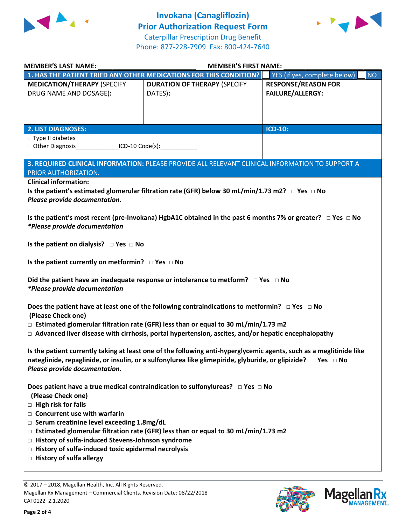

**Invokana (Canagliflozin) Prior Authorization Request Form** Caterpillar Prescription Drug Benefit Phone: 877-228-7909 Fax: 800-424-7640



| <b>MEMBER'S LAST NAME:</b>                                                                                                                                                                                                                                                                                                                                                                                                                                                              | <b>MEMBER'S FIRST NAME:</b>                                                                     |                                                       |  |
|-----------------------------------------------------------------------------------------------------------------------------------------------------------------------------------------------------------------------------------------------------------------------------------------------------------------------------------------------------------------------------------------------------------------------------------------------------------------------------------------|-------------------------------------------------------------------------------------------------|-------------------------------------------------------|--|
|                                                                                                                                                                                                                                                                                                                                                                                                                                                                                         | 1. HAS THE PATIENT TRIED ANY OTHER MEDICATIONS FOR THIS CONDITION?                              | NO<br>YES (if yes, complete below)                    |  |
| <b>MEDICATION/THERAPY (SPECIFY</b><br>DRUG NAME AND DOSAGE):                                                                                                                                                                                                                                                                                                                                                                                                                            | <b>DURATION OF THERAPY (SPECIFY</b><br>DATES):                                                  | <b>RESPONSE/REASON FOR</b><br><b>FAILURE/ALLERGY:</b> |  |
| <b>2. LIST DIAGNOSES:</b>                                                                                                                                                                                                                                                                                                                                                                                                                                                               |                                                                                                 | <b>ICD-10:</b>                                        |  |
| □ Type II diabetes<br>□ Other Diagnosis<br>ICD-10 Code(s):                                                                                                                                                                                                                                                                                                                                                                                                                              |                                                                                                 |                                                       |  |
| PRIOR AUTHORIZATION.                                                                                                                                                                                                                                                                                                                                                                                                                                                                    | 3. REQUIRED CLINICAL INFORMATION: PLEASE PROVIDE ALL RELEVANT CLINICAL INFORMATION TO SUPPORT A |                                                       |  |
| <b>Clinical information:</b><br>Is the patient's estimated glomerular filtration rate (GFR) below 30 mL/min/1.73 m2? $\Box$ Yes $\Box$ No<br>Please provide documentation.<br>Is the patient's most recent (pre-Invokana) HgbA1C obtained in the past 6 months 7% or greater? $\Box$ Yes $\Box$ No<br>*Please provide documentation                                                                                                                                                     |                                                                                                 |                                                       |  |
| Is the patient on dialysis? $\Box$ Yes $\Box$ No                                                                                                                                                                                                                                                                                                                                                                                                                                        |                                                                                                 |                                                       |  |
| Is the patient currently on metformin? $\Box$ Yes $\Box$ No                                                                                                                                                                                                                                                                                                                                                                                                                             |                                                                                                 |                                                       |  |
| <i>*Please provide documentation</i>                                                                                                                                                                                                                                                                                                                                                                                                                                                    | Did the patient have an inadequate response or intolerance to metform? $\Box$ Yes $\Box$ No     |                                                       |  |
| Does the patient have at least one of the following contraindications to metformin? $\Box$ Yes $\Box$ No<br>(Please Check one)<br>$\Box$ Estimated glomerular filtration rate (GFR) less than or equal to 30 mL/min/1.73 m2<br>$\Box$ Advanced liver disease with cirrhosis, portal hypertension, ascites, and/or hepatic encephalopathy                                                                                                                                                |                                                                                                 |                                                       |  |
| Is the patient currently taking at least one of the following anti-hyperglycemic agents, such as a meglitinide like<br>nateglinide, repaglinide, or insulin, or a sulfonylurea like glimepiride, glyburide, or glipizide? $\Box$ Yes $\Box$ No<br>Please provide documentation.                                                                                                                                                                                                         |                                                                                                 |                                                       |  |
| Does patient have a true medical contraindication to sulfonylureas? $\Box$ Yes $\Box$ No<br>(Please Check one)<br>$\Box$ High risk for falls<br>$\Box$ Concurrent use with warfarin<br>□ Serum creatinine level exceeding 1.8mg/dL<br>$\Box$ Estimated glomerular filtration rate (GFR) less than or equal to 30 mL/min/1.73 m2<br>□ History of sulfa-induced Stevens-Johnson syndrome<br>$\Box$ History of sulfa-induced toxic epidermal necrolysis<br>$\Box$ History of sulfa allergy |                                                                                                 |                                                       |  |

© 2017 – 2018, Magellan Health, Inc. All Rights Reserved. Magellan Rx Management – Commercial Clients. Revision Date: 08/22/2018 CAT0122 2.1.2020

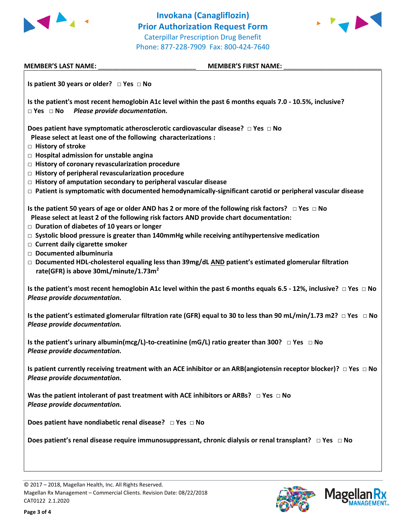



| <b>MEMBER'S LAST NAME:</b>                                                                                                                                                                                                                                                                                                                    | <b>MEMBER'S FIRST NAME:</b>                                                                                                                                                                                                                                                                                                                                                                                                               |
|-----------------------------------------------------------------------------------------------------------------------------------------------------------------------------------------------------------------------------------------------------------------------------------------------------------------------------------------------|-------------------------------------------------------------------------------------------------------------------------------------------------------------------------------------------------------------------------------------------------------------------------------------------------------------------------------------------------------------------------------------------------------------------------------------------|
| Is patient 30 years or older? $\Box$ Yes $\Box$ No                                                                                                                                                                                                                                                                                            |                                                                                                                                                                                                                                                                                                                                                                                                                                           |
| Please provide documentation.<br>$\Box$ Yes $\Box$ No                                                                                                                                                                                                                                                                                         | Is the patient's most recent hemoglobin A1c level within the past 6 months equals 7.0 - 10.5%, inclusive?                                                                                                                                                                                                                                                                                                                                 |
| Please select at least one of the following characterizations :<br><b>E</b> History of stroke<br>$\Box$ Hospital admission for unstable angina<br>$\Box$ History of coronary revascularization procedure<br>$\Box$ History of peripheral revascularization procedure<br>$\Box$ History of amputation secondary to peripheral vascular disease | Does patient have symptomatic atherosclerotic cardiovascular disease? $\Box$ Yes $\Box$ No<br>$\Box$ Patient is symptomatic with documented hemodynamically-significant carotid or peripheral vascular disease                                                                                                                                                                                                                            |
| $\Box$ Duration of diabetes of 10 years or longer<br>$\Box$ Current daily cigarette smoker<br>Documented albuminuria<br>rate(GFR) is above 30mL/minute/1.73m <sup>2</sup>                                                                                                                                                                     | Is the patient 50 years of age or older AND has 2 or more of the following risk factors? $\Box$ Yes $\Box$ No<br>Please select at least 2 of the following risk factors AND provide chart documentation:<br>$\Box$ Systolic blood pressure is greater than 140mmHg while receiving antihypertensive medication<br>$\Box$ Documented HDL-cholesterol equaling less than 39mg/dL $\overline{AND}$ patient's estimated glomerular filtration |
| Please provide documentation.                                                                                                                                                                                                                                                                                                                 | Is the patient's most recent hemoglobin A1c level within the past 6 months equals 6.5 - 12%, inclusive? $\Box$ Yes $\Box$ No                                                                                                                                                                                                                                                                                                              |
| Please provide documentation.                                                                                                                                                                                                                                                                                                                 | Is the patient's estimated glomerular filtration rate (GFR) equal to 30 to less than 90 mL/min/1.73 m2? $\Box$ Yes $\Box$ No                                                                                                                                                                                                                                                                                                              |
| Please provide documentation.                                                                                                                                                                                                                                                                                                                 | Is the patient's urinary albumin(mcg/L)-to-creatinine (mG/L) ratio greater than 300? $\Box$ Yes $\Box$ No                                                                                                                                                                                                                                                                                                                                 |
| Please provide documentation.                                                                                                                                                                                                                                                                                                                 | Is patient currently receiving treatment with an ACE inhibitor or an ARB(angiotensin receptor blocker)? $\Box$ Yes $\Box$ No                                                                                                                                                                                                                                                                                                              |
| Please provide documentation.                                                                                                                                                                                                                                                                                                                 | Was the patient intolerant of past treatment with ACE inhibitors or ARBs? $\Box$ Yes $\Box$ No                                                                                                                                                                                                                                                                                                                                            |
| Does patient have nondiabetic renal disease? $\Box$ Yes $\Box$ No                                                                                                                                                                                                                                                                             |                                                                                                                                                                                                                                                                                                                                                                                                                                           |
|                                                                                                                                                                                                                                                                                                                                               | Does patient's renal disease require immunosuppressant, chronic dialysis or renal transplant? $\Box$ Yes $\Box$ No                                                                                                                                                                                                                                                                                                                        |
|                                                                                                                                                                                                                                                                                                                                               |                                                                                                                                                                                                                                                                                                                                                                                                                                           |

**Page 3 of 4**



**Magella** 

**ANAGEMENT**